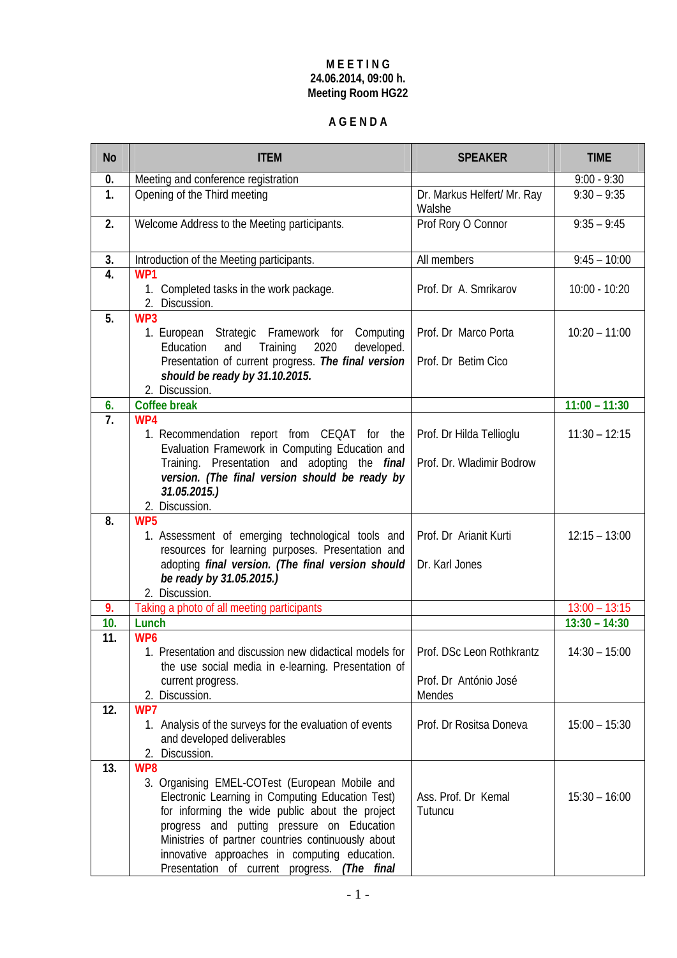#### **M E E T I N G 24.06.2014, 09:00 h. Meeting Room HG22**

# **A G E N D A**

| <b>No</b> | <b>ITEM</b>                                                                                                                                                                                                                                                                                                                                                       | <b>SPEAKER</b>                                        | <b>TIME</b>     |
|-----------|-------------------------------------------------------------------------------------------------------------------------------------------------------------------------------------------------------------------------------------------------------------------------------------------------------------------------------------------------------------------|-------------------------------------------------------|-----------------|
| 0.        | Meeting and conference registration                                                                                                                                                                                                                                                                                                                               |                                                       | $9:00 - 9:30$   |
| 1.        | Opening of the Third meeting                                                                                                                                                                                                                                                                                                                                      | Dr. Markus Helfert/ Mr. Ray<br>Walshe                 | $9:30 - 9:35$   |
| 2.        | Welcome Address to the Meeting participants.                                                                                                                                                                                                                                                                                                                      | Prof Rory O Connor                                    | $9:35 - 9:45$   |
| 3.        | Introduction of the Meeting participants.                                                                                                                                                                                                                                                                                                                         | All members                                           | $9:45 - 10:00$  |
| 4.        | WP1<br>1. Completed tasks in the work package.<br>2. Discussion.                                                                                                                                                                                                                                                                                                  | Prof. Dr A. Smrikarov                                 | $10:00 - 10:20$ |
| 5.        | WP3<br>1. European Strategic Framework for Computing<br>Training<br>2020<br>developed.<br>Education<br>and<br>Presentation of current progress. The final version<br>should be ready by 31.10.2015.<br>2. Discussion.                                                                                                                                             | Prof. Dr Marco Porta<br>Prof. Dr Betim Cico           | $10:20 - 11:00$ |
| 6.        | <b>Coffee break</b>                                                                                                                                                                                                                                                                                                                                               |                                                       | $11:00 - 11:30$ |
| 7.        | WP4<br>1. Recommendation report from CEQAT for the<br>Evaluation Framework in Computing Education and<br>Training. Presentation and adopting the <i>final</i><br>version. (The final version should be ready by<br>31.05.2015.)<br>2. Discussion.                                                                                                                 | Prof. Dr Hilda Tellioglu<br>Prof. Dr. Wladimir Bodrow | $11:30 - 12:15$ |
| 8.        | WP5<br>1. Assessment of emerging technological tools and<br>resources for learning purposes. Presentation and<br>adopting final version. (The final version should<br>be ready by 31.05.2015.)<br>2. Discussion.                                                                                                                                                  | Prof. Dr Arianit Kurti<br>Dr. Karl Jones              | $12:15 - 13:00$ |
| 9.        | Taking a photo of all meeting participants                                                                                                                                                                                                                                                                                                                        |                                                       | $13:00 - 13:15$ |
| 10.       | Lunch                                                                                                                                                                                                                                                                                                                                                             |                                                       | $13:30 - 14:30$ |
| 11.       | WP <sub>6</sub><br>1. Presentation and discussion new didactical models for   Prof. DSc Leon Rothkrantz<br>the use social media in e-learning. Presentation of<br>current progress.<br>2. Discussion.                                                                                                                                                             | Prof. Dr António José<br>Mendes                       | $14:30 - 15:00$ |
| 12.       | WP7<br>1. Analysis of the surveys for the evaluation of events<br>and developed deliverables<br>Discussion.<br>2.                                                                                                                                                                                                                                                 | Prof. Dr Rositsa Doneva                               | $15:00 - 15:30$ |
| 13.       | WP8<br>3. Organising EMEL-COTest (European Mobile and<br>Electronic Learning in Computing Education Test)<br>for informing the wide public about the project<br>progress and putting pressure on Education<br>Ministries of partner countries continuously about<br>innovative approaches in computing education.<br>Presentation of current progress. (The final | Ass. Prof. Dr Kemal<br>Tutuncu                        | $15:30 - 16:00$ |